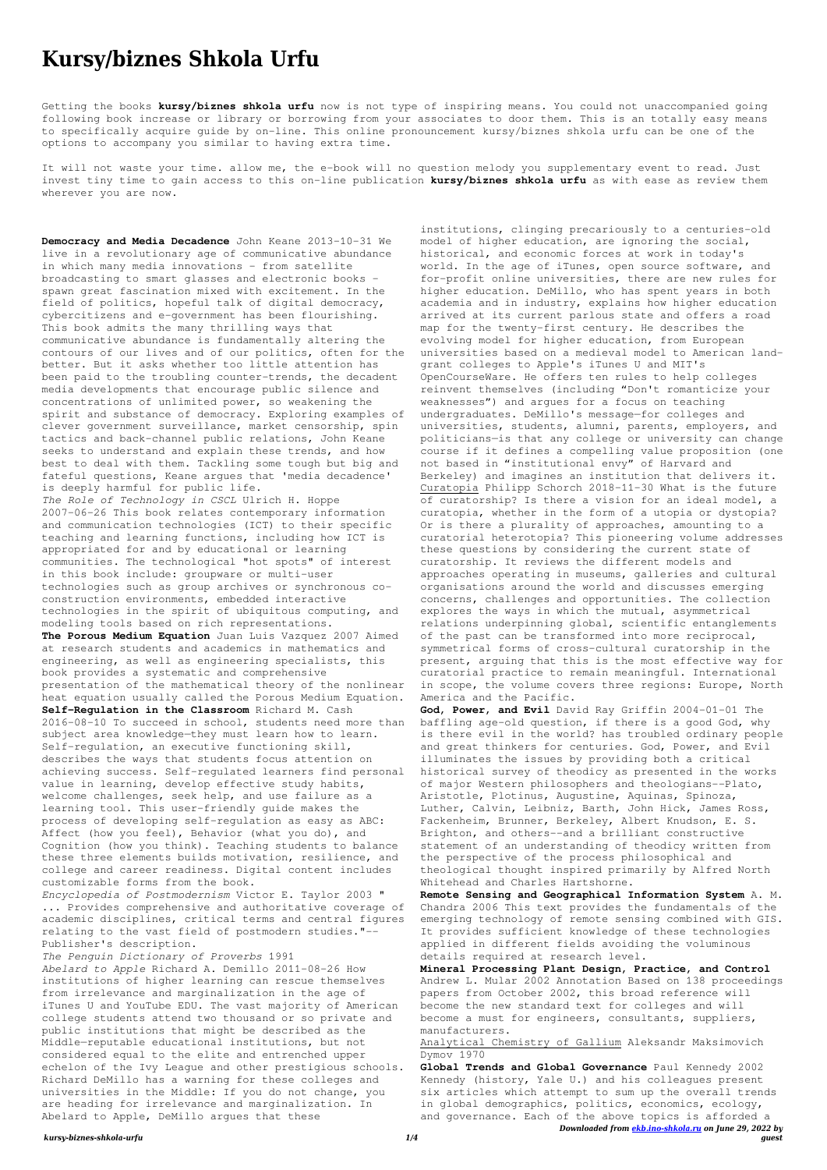*kursy-biznes-shkola-urfu 1/4*

## **Kursy/biznes Shkola Urfu**

Getting the books **kursy/biznes shkola urfu** now is not type of inspiring means. You could not unaccompanied going following book increase or library or borrowing from your associates to door them. This is an totally easy means to specifically acquire guide by on-line. This online pronouncement kursy/biznes shkola urfu can be one of the options to accompany you similar to having extra time.

It will not waste your time. allow me, the e-book will no question melody you supplementary event to read. Just invest tiny time to gain access to this on-line publication **kursy/biznes shkola urfu** as with ease as review them wherever you are now.

**Democracy and Media Decadence** John Keane 2013-10-31 We live in a revolutionary age of communicative abundance in which many media innovations - from satellite broadcasting to smart glasses and electronic books spawn great fascination mixed with excitement. In the field of politics, hopeful talk of digital democracy, cybercitizens and e-government has been flourishing. This book admits the many thrilling ways that communicative abundance is fundamentally altering the contours of our lives and of our politics, often for the better. But it asks whether too little attention has been paid to the troubling counter-trends, the decadent media developments that encourage public silence and concentrations of unlimited power, so weakening the spirit and substance of democracy. Exploring examples of clever government surveillance, market censorship, spin tactics and back-channel public relations, John Keane seeks to understand and explain these trends, and how best to deal with them. Tackling some tough but big and fateful questions, Keane argues that 'media decadence' is deeply harmful for public life. *The Role of Technology in CSCL* Ulrich H. Hoppe 2007-06-26 This book relates contemporary information and communication technologies (ICT) to their specific teaching and learning functions, including how ICT is appropriated for and by educational or learning communities. The technological "hot spots" of interest in this book include: groupware or multi-user technologies such as group archives or synchronous coconstruction environments, embedded interactive technologies in the spirit of ubiquitous computing, and modeling tools based on rich representations. **The Porous Medium Equation** Juan Luis Vazquez 2007 Aimed at research students and academics in mathematics and engineering, as well as engineering specialists, this book provides a systematic and comprehensive presentation of the mathematical theory of the nonlinear heat equation usually called the Porous Medium Equation. **Self-Regulation in the Classroom** Richard M. Cash 2016-08-10 To succeed in school, students need more than subject area knowledge—they must learn how to learn. Self-regulation, an executive functioning skill, describes the ways that students focus attention on achieving success. Self-regulated learners find personal value in learning, develop effective study habits, welcome challenges, seek help, and use failure as a learning tool. This user-friendly guide makes the process of developing self-regulation as easy as ABC: Affect (how you feel), Behavior (what you do), and Cognition (how you think). Teaching students to balance these three elements builds motivation, resilience, and college and career readiness. Digital content includes customizable forms from the book.

*Encyclopedia of Postmodernism* Victor E. Taylor 2003 "

... Provides comprehensive and authoritative coverage of academic disciplines, critical terms and central figures relating to the vast field of postmodern studies."-- Publisher's description.

*The Penguin Dictionary of Proverbs* 1991 *Abelard to Apple* Richard A. Demillo 2011-08-26 How institutions of higher learning can rescue themselves from irrelevance and marginalization in the age of iTunes U and YouTube EDU. The vast majority of American college students attend two thousand or so private and public institutions that might be described as the Middle—reputable educational institutions, but not considered equal to the elite and entrenched upper echelon of the Ivy League and other prestigious schools. Richard DeMillo has a warning for these colleges and universities in the Middle: If you do not change, you are heading for irrelevance and marginalization. In Abelard to Apple, DeMillo argues that these

*Downloaded from [ekb.ino-shkola.ru](http://ekb.ino-shkola.ru) on June 29, 2022 by guest* **Global Trends and Global Governance** Paul Kennedy 2002 Kennedy (history, Yale U.) and his colleagues present six articles which attempt to sum up the overall trends in global demographics, politics, economics, ecology, and governance. Each of the above topics is afforded a

institutions, clinging precariously to a centuries-old model of higher education, are ignoring the social, historical, and economic forces at work in today's world. In the age of iTunes, open source software, and for-profit online universities, there are new rules for higher education. DeMillo, who has spent years in both academia and in industry, explains how higher education arrived at its current parlous state and offers a road map for the twenty-first century. He describes the evolving model for higher education, from European universities based on a medieval model to American landgrant colleges to Apple's iTunes U and MIT's OpenCourseWare. He offers ten rules to help colleges reinvent themselves (including "Don't romanticize your weaknesses") and argues for a focus on teaching undergraduates. DeMillo's message—for colleges and universities, students, alumni, parents, employers, and politicians—is that any college or university can change course if it defines a compelling value proposition (one not based in "institutional envy" of Harvard and Berkeley) and imagines an institution that delivers it. Curatopia Philipp Schorch 2018-11-30 What is the future of curatorship? Is there a vision for an ideal model, a curatopia, whether in the form of a utopia or dystopia? Or is there a plurality of approaches, amounting to a curatorial heterotopia? This pioneering volume addresses these questions by considering the current state of curatorship. It reviews the different models and approaches operating in museums, galleries and cultural organisations around the world and discusses emerging concerns, challenges and opportunities. The collection explores the ways in which the mutual, asymmetrical relations underpinning global, scientific entanglements of the past can be transformed into more reciprocal, symmetrical forms of cross-cultural curatorship in the present, arguing that this is the most effective way for curatorial practice to remain meaningful. International in scope, the volume covers three regions: Europe, North America and the Pacific.

**God, Power, and Evil** David Ray Griffin 2004-01-01 The baffling age-old question, if there is a good God, why is there evil in the world? has troubled ordinary people and great thinkers for centuries. God, Power, and Evil illuminates the issues by providing both a critical historical survey of theodicy as presented in the works of major Western philosophers and theologians--Plato, Aristotle, Plotinus, Augustine, Aquinas, Spinoza, Luther, Calvin, Leibniz, Barth, John Hick, James Ross, Fackenheim, Brunner, Berkeley, Albert Knudson, E. S. Brighton, and others--and a brilliant constructive statement of an understanding of theodicy written from the perspective of the process philosophical and theological thought inspired primarily by Alfred North Whitehead and Charles Hartshorne.

**Remote Sensing and Geographical Information System** A. M. Chandra 2006 This text provides the fundamentals of the emerging technology of remote sensing combined with GIS. It provides sufficient knowledge of these technologies applied in different fields avoiding the voluminous details required at research level.

**Mineral Processing Plant Design, Practice, and Control** Andrew L. Mular 2002 Annotation Based on 138 proceedings papers from October 2002, this broad reference will become the new standard text for colleges and will become a must for engineers, consultants, suppliers, manufacturers.

Analytical Chemistry of Gallium Aleksandr Maksimovich Dymov 1970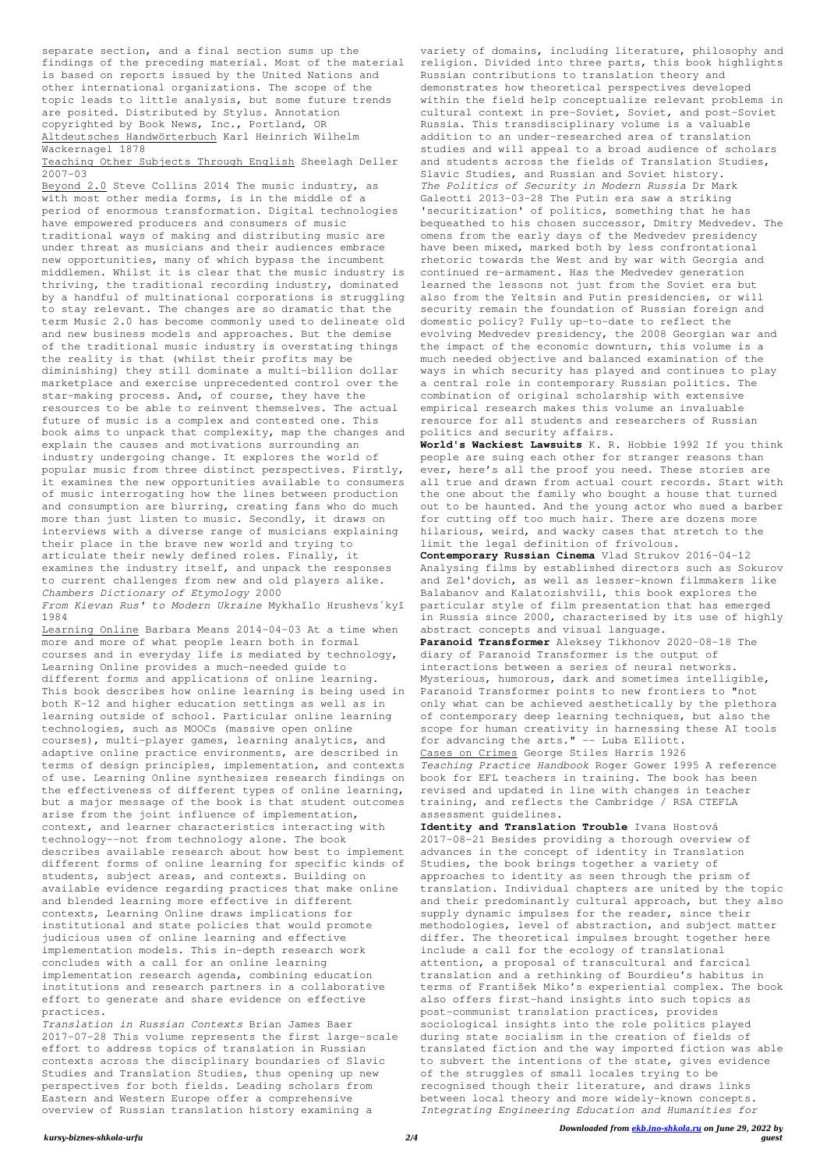separate section, and a final section sums up the findings of the preceding material. Most of the material is based on reports issued by the United Nations and other international organizations. The scope of the topic leads to little analysis, but some future trends are posited. Distributed by Stylus. Annotation copyrighted by Book News, Inc., Portland, OR Altdeutsches Handwörterbuch Karl Heinrich Wilhelm Wackernagel 1878

## Teaching Other Subjects Through English Sheelagh Deller 2007-03

Beyond 2.0 Steve Collins 2014 The music industry, as with most other media forms, is in the middle of a period of enormous transformation. Digital technologies have empowered producers and consumers of music traditional ways of making and distributing music are under threat as musicians and their audiences embrace new opportunities, many of which bypass the incumbent middlemen. Whilst it is clear that the music industry is thriving, the traditional recording industry, dominated by a handful of multinational corporations is struggling to stay relevant. The changes are so dramatic that the term Music 2.0 has become commonly used to delineate old and new business models and approaches. But the demise of the traditional music industry is overstating things the reality is that (whilst their profits may be diminishing) they still dominate a multi-billion dollar marketplace and exercise unprecedented control over the star-making process. And, of course, they have the resources to be able to reinvent themselves. The actual future of music is a complex and contested one. This book aims to unpack that complexity, map the changes and explain the causes and motivations surrounding an industry undergoing change. It explores the world of popular music from three distinct perspectives. Firstly, it examines the new opportunities available to consumers of music interrogating how the lines between production and consumption are blurring, creating fans who do much more than just listen to music. Secondly, it draws on interviews with a diverse range of musicians explaining their place in the brave new world and trying to articulate their newly defined roles. Finally, it examines the industry itself, and unpack the responses to current challenges from new and old players alike. *Chambers Dictionary of Etymology* 2000 *From Kievan Rus' to Modern Ukraine* Mykhaĭlo Hrushevsʹkyĭ

1984

Learning Online Barbara Means 2014-04-03 At a time when more and more of what people learn both in formal courses and in everyday life is mediated by technology, Learning Online provides a much-needed guide to different forms and applications of online learning. This book describes how online learning is being used in both K-12 and higher education settings as well as in learning outside of school. Particular online learning technologies, such as MOOCs (massive open online courses), multi-player games, learning analytics, and adaptive online practice environments, are described in terms of design principles, implementation, and contexts of use. Learning Online synthesizes research findings on the effectiveness of different types of online learning, but a major message of the book is that student outcomes arise from the joint influence of implementation, context, and learner characteristics interacting with technology--not from technology alone. The book describes available research about how best to implement different forms of online learning for specific kinds of students, subject areas, and contexts. Building on available evidence regarding practices that make online and blended learning more effective in different contexts, Learning Online draws implications for institutional and state policies that would promote judicious uses of online learning and effective implementation models. This in-depth research work concludes with a call for an online learning implementation research agenda, combining education institutions and research partners in a collaborative effort to generate and share evidence on effective practices. *Translation in Russian Contexts* Brian James Baer 2017-07-28 This volume represents the first large-scale effort to address topics of translation in Russian contexts across the disciplinary boundaries of Slavic Studies and Translation Studies, thus opening up new perspectives for both fields. Leading scholars from Eastern and Western Europe offer a comprehensive overview of Russian translation history examining a

variety of domains, including literature, philosophy and religion. Divided into three parts, this book highlights Russian contributions to translation theory and demonstrates how theoretical perspectives developed within the field help conceptualize relevant problems in cultural context in pre-Soviet, Soviet, and post-Soviet Russia. This transdisciplinary volume is a valuable addition to an under-researched area of translation studies and will appeal to a broad audience of scholars and students across the fields of Translation Studies, Slavic Studies, and Russian and Soviet history. *The Politics of Security in Modern Russia* Dr Mark Galeotti 2013-03-28 The Putin era saw a striking 'securitization' of politics, something that he has bequeathed to his chosen successor, Dmitry Medvedev. The omens from the early days of the Medvedev presidency have been mixed, marked both by less confrontational rhetoric towards the West and by war with Georgia and continued re-armament. Has the Medvedev generation learned the lessons not just from the Soviet era but also from the Yeltsin and Putin presidencies, or will security remain the foundation of Russian foreign and domestic policy? Fully up-to-date to reflect the evolving Medvedev presidency, the 2008 Georgian war and the impact of the economic downturn, this volume is a much needed objective and balanced examination of the ways in which security has played and continues to play a central role in contemporary Russian politics. The combination of original scholarship with extensive empirical research makes this volume an invaluable resource for all students and researchers of Russian politics and security affairs.

**World's Wackiest Lawsuits** K. R. Hobbie 1992 If you think people are suing each other for stranger reasons than ever, here's all the proof you need. These stories are all true and drawn from actual court records. Start with the one about the family who bought a house that turned out to be haunted. And the young actor who sued a barber for cutting off too much hair. There are dozens more hilarious, weird, and wacky cases that stretch to the limit the legal definition of frivolous.

**Contemporary Russian Cinema** Vlad Strukov 2016-04-12 Analysing films by established directors such as Sokurov and Zel'dovich, as well as lesser-known filmmakers like Balabanov and Kalatozishvili, this book explores the particular style of film presentation that has emerged in Russia since 2000, characterised by its use of highly abstract concepts and visual language.

**Paranoid Transformer** Aleksey Tikhonov 2020-08-18 The diary of Paranoid Transformer is the output of interactions between a series of neural networks. Mysterious, humorous, dark and sometimes intelligible, Paranoid Transformer points to new frontiers to "not only what can be achieved aesthetically by the plethora of contemporary deep learning techniques, but also the scope for human creativity in harnessing these AI tools for advancing the arts." -- Luba Elliott. Cases on Crimes George Stiles Harris 1926

*Teaching Practice Handbook* Roger Gower 1995 A reference book for EFL teachers in training. The book has been revised and updated in line with changes in teacher training, and reflects the Cambridge / RSA CTEFLA assessment guidelines.

**Identity and Translation Trouble** Ivana Hostová 2017-08-21 Besides providing a thorough overview of advances in the concept of identity in Translation Studies, the book brings together a variety of approaches to identity as seen through the prism of

translation. Individual chapters are united by the topic and their predominantly cultural approach, but they also supply dynamic impulses for the reader, since their methodologies, level of abstraction, and subject matter differ. The theoretical impulses brought together here include a call for the ecology of translational attention, a proposal of transcultural and farcical translation and a rethinking of Bourdieu's habitus in terms of František Miko's experiential complex. The book also offers first-hand insights into such topics as post-communist translation practices, provides sociological insights into the role politics played during state socialism in the creation of fields of translated fiction and the way imported fiction was able to subvert the intentions of the state, gives evidence of the struggles of small locales trying to be recognised though their literature, and draws links between local theory and more widely-known concepts. *Integrating Engineering Education and Humanities for*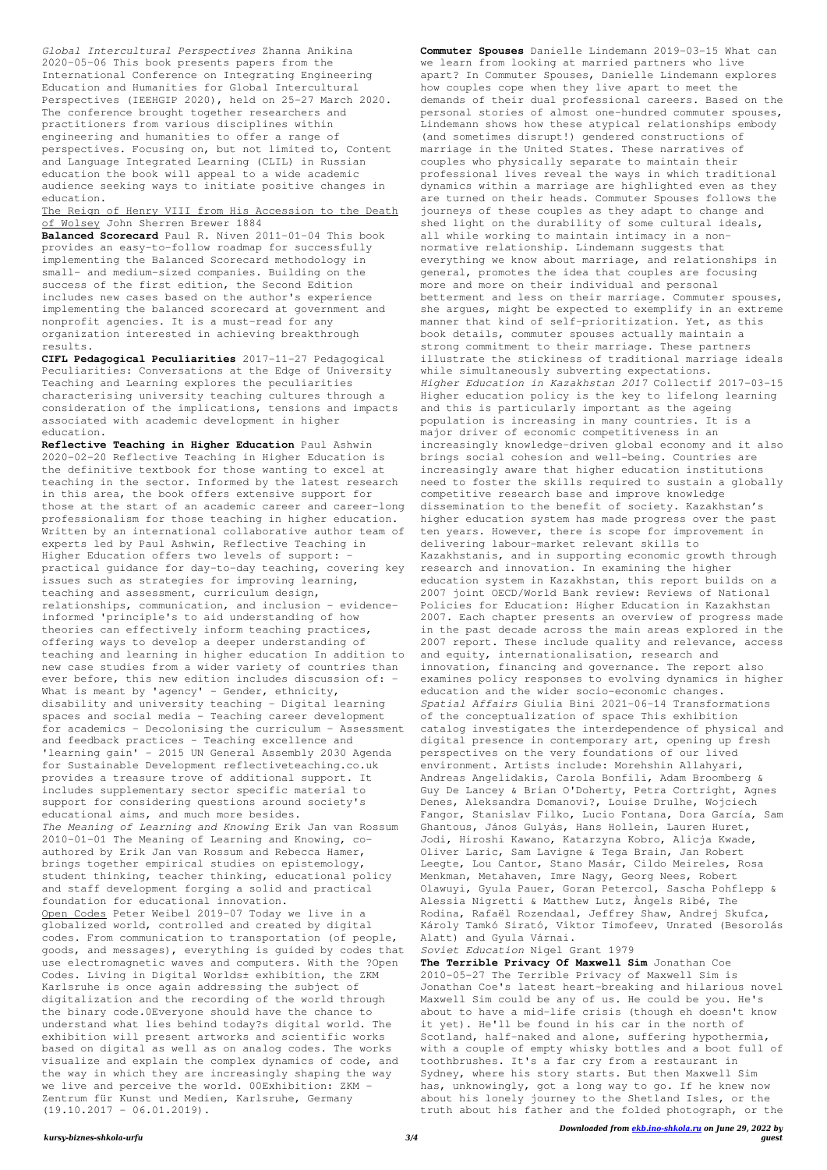*kursy-biznes-shkola-urfu 3/4*

*Global Intercultural Perspectives* Zhanna Anikina 2020-05-06 This book presents papers from the International Conference on Integrating Engineering Education and Humanities for Global Intercultural Perspectives (IEEHGIP 2020), held on 25–27 March 2020. The conference brought together researchers and practitioners from various disciplines within engineering and humanities to offer a range of perspectives. Focusing on, but not limited to, Content and Language Integrated Learning (CLIL) in Russian education the book will appeal to a wide academic audience seeking ways to initiate positive changes in education.

The Reign of Henry VIII from His Accession to the Death of Wolsey John Sherren Brewer 1884

**Reflective Teaching in Higher Education** Paul Ashwin 2020-02-20 Reflective Teaching in Higher Education is the definitive textbook for those wanting to excel at teaching in the sector. Informed by the latest research in this area, the book offers extensive support for those at the start of an academic career and career-long professionalism for those teaching in higher education. Written by an international collaborative author team of experts led by Paul Ashwin, Reflective Teaching in Higher Education offers two levels of support: practical guidance for day-to-day teaching, covering key issues such as strategies for improving learning, teaching and assessment, curriculum design, relationships, communication, and inclusion - evidenceinformed 'principle's to aid understanding of how theories can effectively inform teaching practices, offering ways to develop a deeper understanding of teaching and learning in higher education In addition to new case studies from a wider variety of countries than ever before, this new edition includes discussion of: - What is meant by 'agency' - Gender, ethnicity, disability and university teaching - Digital learning spaces and social media - Teaching career development for academics - Decolonising the curriculum - Assessment and feedback practices - Teaching excellence and 'learning gain' - 2015 UN General Assembly 2030 Agenda for Sustainable Development reflectiveteaching.co.uk provides a treasure trove of additional support. It includes supplementary sector specific material to support for considering questions around society's educational aims, and much more besides. *The Meaning of Learning and Knowing* Erik Jan van Rossum 2010-01-01 The Meaning of Learning and Knowing, coauthored by Erik Jan van Rossum and Rebecca Hamer, brings together empirical studies on epistemology, student thinking, teacher thinking, educational policy and staff development forging a solid and practical foundation for educational innovation. Open Codes Peter Weibel 2019-07 Today we live in a globalized world, controlled and created by digital codes. From communication to transportation (of people, goods, and messages), everything is guided by codes that use electromagnetic waves and computers. With the ?Open Codes. Living in Digital Worlds± exhibition, the ZKM Karlsruhe is once again addressing the subject of digitalization and the recording of the world through the binary code.0Everyone should have the chance to understand what lies behind today?s digital world. The exhibition will present artworks and scientific works based on digital as well as on analog codes. The works visualize and explain the complex dynamics of code, and the way in which they are increasingly shaping the way we live and perceive the world. 00Exhibition: ZKM - Zentrum für Kunst und Medien, Karlsruhe, Germany  $(19.10.2017 - 06.01.2019)$ .

**Balanced Scorecard** Paul R. Niven 2011-01-04 This book provides an easy-to-follow roadmap for successfully implementing the Balanced Scorecard methodology in small- and medium-sized companies. Building on the success of the first edition, the Second Edition includes new cases based on the author's experience implementing the balanced scorecard at government and nonprofit agencies. It is a must-read for any organization interested in achieving breakthrough results.

**CIFL Pedagogical Peculiarities** 2017-11-27 Pedagogical Peculiarities: Conversations at the Edge of University Teaching and Learning explores the peculiarities characterising university teaching cultures through a consideration of the implications, tensions and impacts associated with academic development in higher education.

**Commuter Spouses** Danielle Lindemann 2019-03-15 What can we learn from looking at married partners who live apart? In Commuter Spouses, Danielle Lindemann explores how couples cope when they live apart to meet the demands of their dual professional careers. Based on the personal stories of almost one-hundred commuter spouses, Lindemann shows how these atypical relationships embody (and sometimes disrupt!) gendered constructions of marriage in the United States. These narratives of couples who physically separate to maintain their professional lives reveal the ways in which traditional dynamics within a marriage are highlighted even as they are turned on their heads. Commuter Spouses follows the journeys of these couples as they adapt to change and shed light on the durability of some cultural ideals, all while working to maintain intimacy in a nonnormative relationship. Lindemann suggests that everything we know about marriage, and relationships in general, promotes the idea that couples are focusing more and more on their individual and personal betterment and less on their marriage. Commuter spouses, she argues, might be expected to exemplify in an extreme manner that kind of self-prioritization. Yet, as this book details, commuter spouses actually maintain a strong commitment to their marriage. These partners illustrate the stickiness of traditional marriage ideals while simultaneously subverting expectations. *Higher Education in Kazakhstan 2017* Collectif 2017-03-15 Higher education policy is the key to lifelong learning and this is particularly important as the ageing population is increasing in many countries. It is a major driver of economic competitiveness in an increasingly knowledge-driven global economy and it also brings social cohesion and well-being. Countries are increasingly aware that higher education institutions need to foster the skills required to sustain a globally competitive research base and improve knowledge dissemination to the benefit of society. Kazakhstan's higher education system has made progress over the past ten years. However, there is scope for improvement in delivering labour-market relevant skills to Kazakhstanis, and in supporting economic growth through research and innovation. In examining the higher education system in Kazakhstan, this report builds on a 2007 joint OECD/World Bank review: Reviews of National Policies for Education: Higher Education in Kazakhstan 2007. Each chapter presents an overview of progress made in the past decade across the main areas explored in the 2007 report. These include quality and relevance, access and equity, internationalisation, research and innovation, financing and governance. The report also examines policy responses to evolving dynamics in higher education and the wider socio-economic changes. *Spatial Affairs* Giulia Bini 2021-06-14 Transformations of the conceptualization of space This exhibition catalog investigates the interdependence of physical and digital presence in contemporary art, opening up fresh perspectives on the very foundations of our lived environment. Artists include: Morehshin Allahyari, Andreas Angelidakis, Carola Bonfili, Adam Broomberg & Guy De Lancey & Brian O'Doherty, Petra Cortright, Agnes Denes, Aleksandra Domanovi?, Louise Drulhe, Wojciech Fangor, Stanislav Filko, Lucio Fontana, Dora García, Sam Ghantous, János Gulyás, Hans Hollein, Lauren Huret, Jodi, Hiroshi Kawano, Katarzyna Kobro, Alicja Kwade, Oliver Laric, Sam Lavigne & Tega Brain, Jan Robert Leegte, Lou Cantor, Stano Masár, Cildo Meireles, Rosa Menkman, Metahaven, Imre Nagy, Georg Nees, Robert Olawuyi, Gyula Pauer, Goran Petercol, Sascha Pohflepp & Alessia Nigretti & Matthew Lutz, Àngels Ribé, The Rodina, Rafaël Rozendaal, Jeffrey Shaw, Andrej Skufca, Károly Tamkó Sirató, Viktor Timofeev, Unrated (Besorolás Alatt) and Gyula Várnai.

*Soviet Education* Nigel Grant 1979

**The Terrible Privacy Of Maxwell Sim** Jonathan Coe 2010-05-27 The Terrible Privacy of Maxwell Sim is Jonathan Coe's latest heart-breaking and hilarious novel Maxwell Sim could be any of us. He could be you. He's about to have a mid-life crisis (though eh doesn't know it yet). He'll be found in his car in the north of Scotland, half-naked and alone, suffering hypothermia, with a couple of empty whisky bottles and a boot full of toothbrushes. It's a far cry from a restaurant in Sydney, where his story starts. But then Maxwell Sim has, unknowingly, got a long way to go. If he knew now about his lonely journey to the Shetland Isles, or the truth about his father and the folded photograph, or the